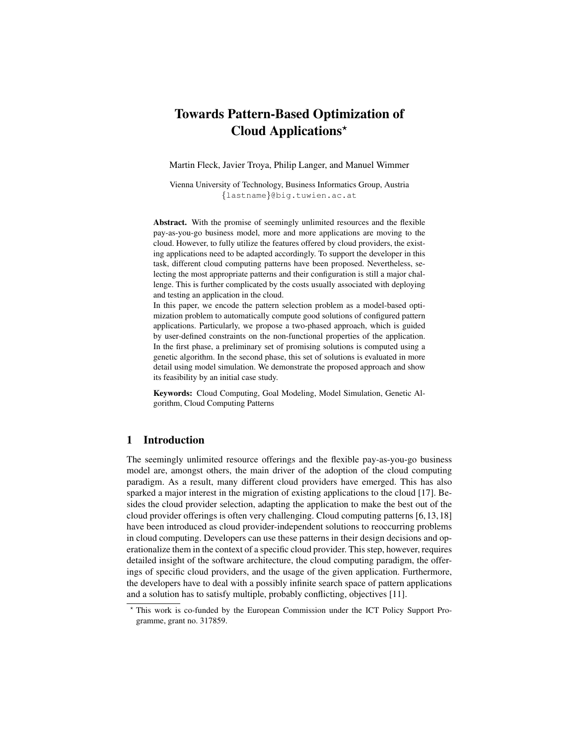# Towards Pattern-Based Optimization of Cloud Applications?

Martin Fleck, Javier Troya, Philip Langer, and Manuel Wimmer

Vienna University of Technology, Business Informatics Group, Austria {lastname}@big.tuwien.ac.at

Abstract. With the promise of seemingly unlimited resources and the flexible pay-as-you-go business model, more and more applications are moving to the cloud. However, to fully utilize the features offered by cloud providers, the existing applications need to be adapted accordingly. To support the developer in this task, different cloud computing patterns have been proposed. Nevertheless, selecting the most appropriate patterns and their configuration is still a major challenge. This is further complicated by the costs usually associated with deploying and testing an application in the cloud.

In this paper, we encode the pattern selection problem as a model-based optimization problem to automatically compute good solutions of configured pattern applications. Particularly, we propose a two-phased approach, which is guided by user-defined constraints on the non-functional properties of the application. In the first phase, a preliminary set of promising solutions is computed using a genetic algorithm. In the second phase, this set of solutions is evaluated in more detail using model simulation. We demonstrate the proposed approach and show its feasibility by an initial case study.

Keywords: Cloud Computing, Goal Modeling, Model Simulation, Genetic Algorithm, Cloud Computing Patterns

## 1 Introduction

The seemingly unlimited resource offerings and the flexible pay-as-you-go business model are, amongst others, the main driver of the adoption of the cloud computing paradigm. As a result, many different cloud providers have emerged. This has also sparked a major interest in the migration of existing applications to the cloud [17]. Besides the cloud provider selection, adapting the application to make the best out of the cloud provider offerings is often very challenging. Cloud computing patterns [6, 13, 18] have been introduced as cloud provider-independent solutions to reoccurring problems in cloud computing. Developers can use these patterns in their design decisions and operationalize them in the context of a specific cloud provider. This step, however, requires detailed insight of the software architecture, the cloud computing paradigm, the offerings of specific cloud providers, and the usage of the given application. Furthermore, the developers have to deal with a possibly infinite search space of pattern applications and a solution has to satisfy multiple, probably conflicting, objectives [11].

<sup>?</sup> This work is co-funded by the European Commission under the ICT Policy Support Programme, grant no. 317859.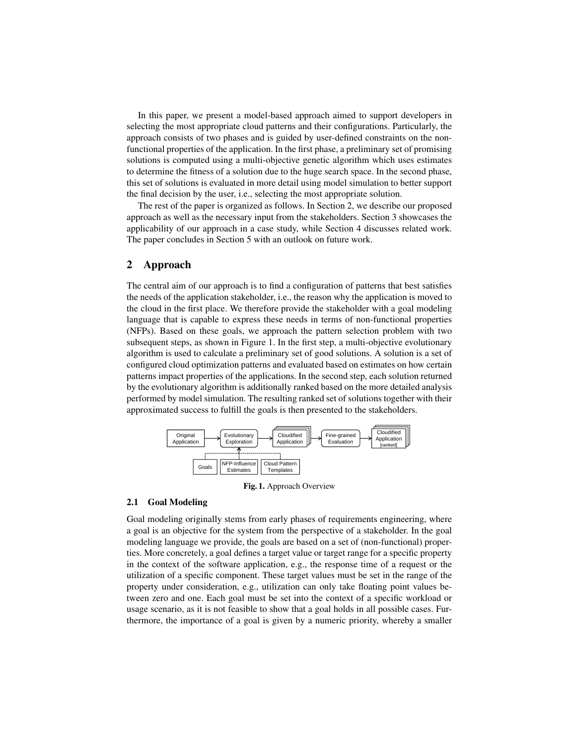In this paper, we present a model-based approach aimed to support developers in selecting the most appropriate cloud patterns and their configurations. Particularly, the approach consists of two phases and is guided by user-defined constraints on the nonfunctional properties of the application. In the first phase, a preliminary set of promising solutions is computed using a multi-objective genetic algorithm which uses estimates to determine the fitness of a solution due to the huge search space. In the second phase, this set of solutions is evaluated in more detail using model simulation to better support the final decision by the user, i.e., selecting the most appropriate solution.

The rest of the paper is organized as follows. In Section 2, we describe our proposed approach as well as the necessary input from the stakeholders. Section 3 showcases the applicability of our approach in a case study, while Section 4 discusses related work. The paper concludes in Section 5 with an outlook on future work.

## 2 Approach

The central aim of our approach is to find a configuration of patterns that best satisfies the needs of the application stakeholder, i.e., the reason why the application is moved to the cloud in the first place. We therefore provide the stakeholder with a goal modeling language that is capable to express these needs in terms of non-functional properties (NFPs). Based on these goals, we approach the pattern selection problem with two subsequent steps, as shown in Figure 1. In the first step, a multi-objective evolutionary algorithm is used to calculate a preliminary set of good solutions. A solution is a set of configured cloud optimization patterns and evaluated based on estimates on how certain patterns impact properties of the applications. In the second step, each solution returned by the evolutionary algorithm is additionally ranked based on the more detailed analysis performed by model simulation. The resulting ranked set of solutions together with their approximated success to fulfill the goals is then presented to the stakeholders.



Fig. 1. Approach Overview

#### 2.1 Goal Modeling

Goal modeling originally stems from early phases of requirements engineering, where a goal is an objective for the system from the perspective of a stakeholder. In the goal modeling language we provide, the goals are based on a set of (non-functional) properties. More concretely, a goal defines a target value or target range for a specific property in the context of the software application, e.g., the response time of a request or the utilization of a specific component. These target values must be set in the range of the property under consideration, e.g., utilization can only take floating point values between zero and one. Each goal must be set into the context of a specific workload or usage scenario, as it is not feasible to show that a goal holds in all possible cases. Furthermore, the importance of a goal is given by a numeric priority, whereby a smaller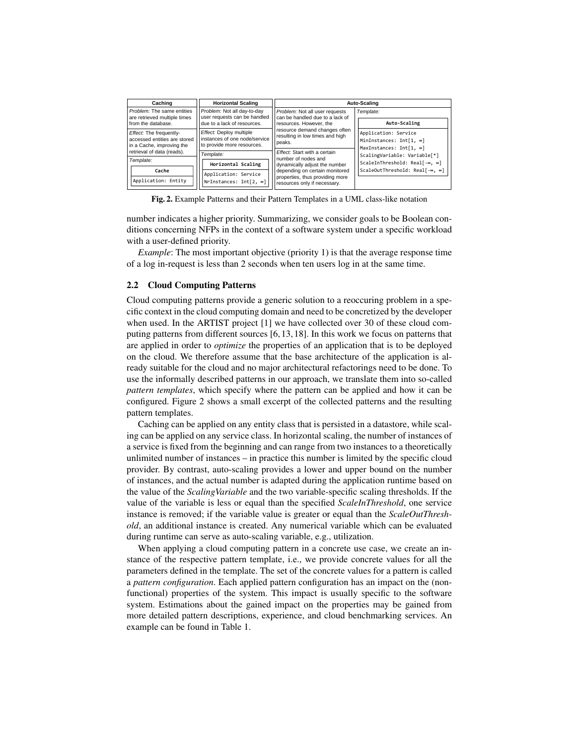| Caching                                                                              | <b>Horizontal Scaling</b>                                                              | Auto-Scaling                                                                                                                                                                              |                                                                            |  |  |
|--------------------------------------------------------------------------------------|----------------------------------------------------------------------------------------|-------------------------------------------------------------------------------------------------------------------------------------------------------------------------------------------|----------------------------------------------------------------------------|--|--|
| Problem: The same entities                                                           | Problem: Not all day-to-day                                                            | Problem: Not all user requests                                                                                                                                                            | Template:                                                                  |  |  |
| are retrieved multiple times<br>from the database.                                   | user requests can be handled<br>due to a lack of resources.                            | can be handled due to a lack of<br>resources. However, the                                                                                                                                | Auto-Scaling                                                               |  |  |
| Effect: The frequently-<br>accessed entities are stored<br>in a Cache, improving the | Effect: Deploy multiple<br>instances of one node/service<br>to provide more resources. | resource demand changes often<br>resulting in low times and high<br>peaks.                                                                                                                | Application: Service<br>MinInstances: Int[1, ∞]<br>MaxInstances: Int[1, ∞] |  |  |
| retrieval of data (reads).<br>Template:                                              | Template:<br>Horizontal Scaling                                                        | Effect: Start with a certain<br>number of nodes and<br>dynamically adjust the number<br>depending on certain monitored<br>properties, thus providing more<br>resources only if necessary. | ScalingVariable: Variable[*]<br>ScaleInThreshold: Real[-∞, ∞]              |  |  |
| Cache<br>Application: Entity                                                         | Application: Service<br>NrInstances: Int[2, ∞]                                         |                                                                                                                                                                                           | ScaleOutThreshold: Real[-∞, ∞]                                             |  |  |

Fig. 2. Example Patterns and their Pattern Templates in a UML class-like notation

number indicates a higher priority. Summarizing, we consider goals to be Boolean conditions concerning NFPs in the context of a software system under a specific workload with a user-defined priority.

*Example*: The most important objective (priority 1) is that the average response time of a log in-request is less than 2 seconds when ten users log in at the same time.

#### 2.2 Cloud Computing Patterns

Cloud computing patterns provide a generic solution to a reoccuring problem in a specific context in the cloud computing domain and need to be concretized by the developer when used. In the ARTIST project [1] we have collected over 30 of these cloud computing patterns from different sources [6, 13, 18]. In this work we focus on patterns that are applied in order to *optimize* the properties of an application that is to be deployed on the cloud. We therefore assume that the base architecture of the application is already suitable for the cloud and no major architectural refactorings need to be done. To use the informally described patterns in our approach, we translate them into so-called *pattern templates*, which specify where the pattern can be applied and how it can be configured. Figure 2 shows a small excerpt of the collected patterns and the resulting pattern templates.

Caching can be applied on any entity class that is persisted in a datastore, while scaling can be applied on any service class. In horizontal scaling, the number of instances of a service is fixed from the beginning and can range from two instances to a theoretically unlimited number of instances – in practice this number is limited by the specific cloud provider. By contrast, auto-scaling provides a lower and upper bound on the number of instances, and the actual number is adapted during the application runtime based on the value of the *ScalingVariable* and the two variable-specific scaling thresholds. If the value of the variable is less or equal than the specified *ScaleInThreshold*, one service instance is removed; if the variable value is greater or equal than the *ScaleOutThreshold*, an additional instance is created. Any numerical variable which can be evaluated during runtime can serve as auto-scaling variable, e.g., utilization.

When applying a cloud computing pattern in a concrete use case, we create an instance of the respective pattern template, i.e., we provide concrete values for all the parameters defined in the template. The set of the concrete values for a pattern is called a *pattern configuration*. Each applied pattern configuration has an impact on the (nonfunctional) properties of the system. This impact is usually specific to the software system. Estimations about the gained impact on the properties may be gained from more detailed pattern descriptions, experience, and cloud benchmarking services. An example can be found in Table 1.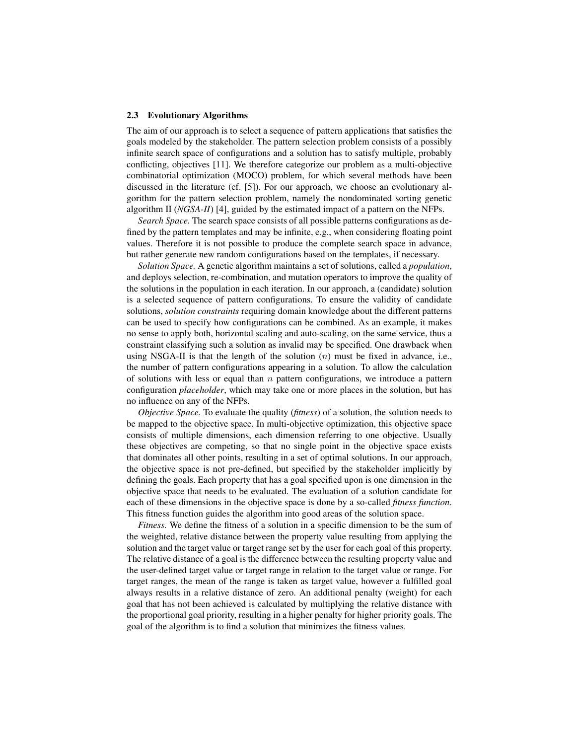#### 2.3 Evolutionary Algorithms

The aim of our approach is to select a sequence of pattern applications that satisfies the goals modeled by the stakeholder. The pattern selection problem consists of a possibly infinite search space of configurations and a solution has to satisfy multiple, probably conflicting, objectives [11]. We therefore categorize our problem as a multi-objective combinatorial optimization (MOCO) problem, for which several methods have been discussed in the literature (cf. [5]). For our approach, we choose an evolutionary algorithm for the pattern selection problem, namely the nondominated sorting genetic algorithm II (*NGSA-II*) [4], guided by the estimated impact of a pattern on the NFPs.

*Search Space.* The search space consists of all possible patterns configurations as defined by the pattern templates and may be infinite, e.g., when considering floating point values. Therefore it is not possible to produce the complete search space in advance, but rather generate new random configurations based on the templates, if necessary.

*Solution Space.* A genetic algorithm maintains a set of solutions, called a *population*, and deploys selection, re-combination, and mutation operators to improve the quality of the solutions in the population in each iteration. In our approach, a (candidate) solution is a selected sequence of pattern configurations. To ensure the validity of candidate solutions, *solution constraints* requiring domain knowledge about the different patterns can be used to specify how configurations can be combined. As an example, it makes no sense to apply both, horizontal scaling and auto-scaling, on the same service, thus a constraint classifying such a solution as invalid may be specified. One drawback when using NSGA-II is that the length of the solution  $(n)$  must be fixed in advance, i.e., the number of pattern configurations appearing in a solution. To allow the calculation of solutions with less or equal than  $n$  pattern configurations, we introduce a pattern configuration *placeholder*, which may take one or more places in the solution, but has no influence on any of the NFPs.

*Objective Space.* To evaluate the quality (*fitness*) of a solution, the solution needs to be mapped to the objective space. In multi-objective optimization, this objective space consists of multiple dimensions, each dimension referring to one objective. Usually these objectives are competing, so that no single point in the objective space exists that dominates all other points, resulting in a set of optimal solutions. In our approach, the objective space is not pre-defined, but specified by the stakeholder implicitly by defining the goals. Each property that has a goal specified upon is one dimension in the objective space that needs to be evaluated. The evaluation of a solution candidate for each of these dimensions in the objective space is done by a so-called *fitness function*. This fitness function guides the algorithm into good areas of the solution space.

*Fitness.* We define the fitness of a solution in a specific dimension to be the sum of the weighted, relative distance between the property value resulting from applying the solution and the target value or target range set by the user for each goal of this property. The relative distance of a goal is the difference between the resulting property value and the user-defined target value or target range in relation to the target value or range. For target ranges, the mean of the range is taken as target value, however a fulfilled goal always results in a relative distance of zero. An additional penalty (weight) for each goal that has not been achieved is calculated by multiplying the relative distance with the proportional goal priority, resulting in a higher penalty for higher priority goals. The goal of the algorithm is to find a solution that minimizes the fitness values.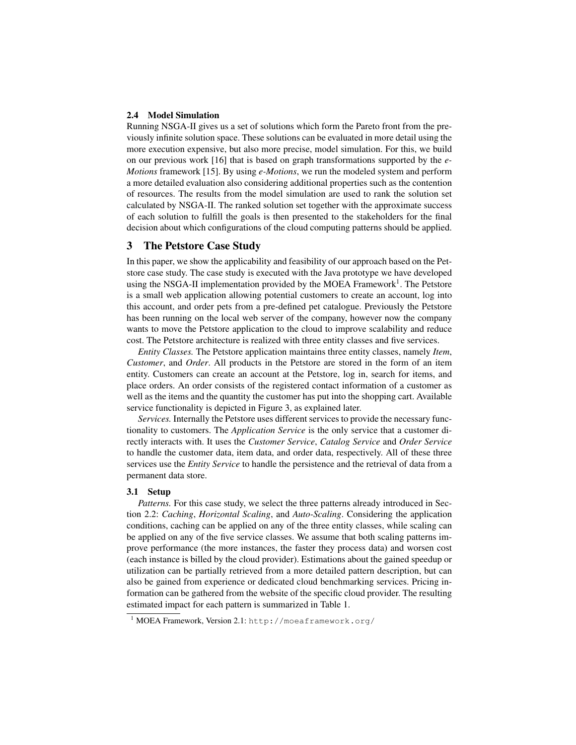#### 2.4 Model Simulation

Running NSGA-II gives us a set of solutions which form the Pareto front from the previously infinite solution space. These solutions can be evaluated in more detail using the more execution expensive, but also more precise, model simulation. For this, we build on our previous work [16] that is based on graph transformations supported by the *e-Motions* framework [15]. By using *e-Motions*, we run the modeled system and perform a more detailed evaluation also considering additional properties such as the contention of resources. The results from the model simulation are used to rank the solution set calculated by NSGA-II. The ranked solution set together with the approximate success of each solution to fulfill the goals is then presented to the stakeholders for the final decision about which configurations of the cloud computing patterns should be applied.

### 3 The Petstore Case Study

In this paper, we show the applicability and feasibility of our approach based on the Petstore case study. The case study is executed with the Java prototype we have developed using the NSGA-II implementation provided by the MOEA Framework<sup>1</sup>. The Petstore is a small web application allowing potential customers to create an account, log into this account, and order pets from a pre-defined pet catalogue. Previously the Petstore has been running on the local web server of the company, however now the company wants to move the Petstore application to the cloud to improve scalability and reduce cost. The Petstore architecture is realized with three entity classes and five services.

*Entity Classes.* The Petstore application maintains three entity classes, namely *Item*, *Customer*, and *Order*. All products in the Petstore are stored in the form of an item entity. Customers can create an account at the Petstore, log in, search for items, and place orders. An order consists of the registered contact information of a customer as well as the items and the quantity the customer has put into the shopping cart. Available service functionality is depicted in Figure 3, as explained later.

*Services.* Internally the Petstore uses different services to provide the necessary functionality to customers. The *Application Service* is the only service that a customer directly interacts with. It uses the *Customer Service*, *Catalog Service* and *Order Service* to handle the customer data, item data, and order data, respectively. All of these three services use the *Entity Service* to handle the persistence and the retrieval of data from a permanent data store.

#### 3.1 Setup

*Patterns.* For this case study, we select the three patterns already introduced in Section 2.2: *Caching*, *Horizontal Scaling*, and *Auto-Scaling*. Considering the application conditions, caching can be applied on any of the three entity classes, while scaling can be applied on any of the five service classes. We assume that both scaling patterns improve performance (the more instances, the faster they process data) and worsen cost (each instance is billed by the cloud provider). Estimations about the gained speedup or utilization can be partially retrieved from a more detailed pattern description, but can also be gained from experience or dedicated cloud benchmarking services. Pricing information can be gathered from the website of the specific cloud provider. The resulting estimated impact for each pattern is summarized in Table 1.

<sup>1</sup> MOEA Framework, Version 2.1: http://moeaframework.org/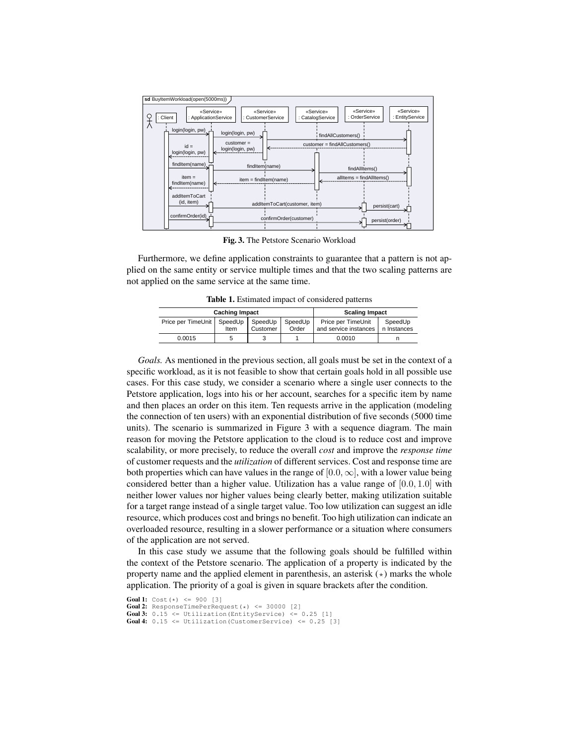

Fig. 3. The Petstore Scenario Workload

not applied on the same service at the same time. Furthermore, we define application constraints to guarantee that a pattern is not applied on the same entity or service multiple times and that the two scaling patterns are

 $\mathbf{h}$ stances  $\mathbf{h}$ Table 1. Estimated impact of considered patterns

| <b>Caching Impact</b>        |      |          | <b>Scaling Impact</b> |                       |             |
|------------------------------|------|----------|-----------------------|-----------------------|-------------|
| Price per TimeUnit   SpeedUp |      | SpeedUp  | SpeedUp               | Price per TimeUnit    | SpeedUp     |
|                              | Item | Customer | Order                 | and service instances | n Instances |
| 0.0015                       |      |          |                       | 0.0010                |             |

**Photographs** is accumulated in **Pieces** 2 with a company discussed **Photo** units). The scenario is summarized in Figure 3 with a sequence diagram. The main ing the Petstore application to the cloud is to reduce cost and improve scalability, or more precisely, to reduce the overall *cost* and improve the *response time* both properties which can have values in the range of  $[0.0, \infty]$ , with a lower value being considered better than a higher value. Utilization has a value range of  $[0.0, 1.0]$  with neither lower values nor higher values being clearly better, making utilization suitable for a target range instead of a single target value. Too low utilization can suggest an idle resource, which produces cost and brings no benefit. Too high utilization can indicate an resource, which produces cost and brings no benefit. Too high utilization can indicate an overloaded resource, resulting in a slower performance or a situation where consumers of the application are not served. reason for moving the Petstore application to the cloud is to reduce cost and improve of customer requests and the *utilization* of different services. Cost and response time are *Goals.* As mentioned in the previous section, all goals must be set in the context of a specific workload, as it is not feasible to show that certain goals hold in all possible use cases. For this case study, we consider a scenario where a single user connects to the Petstore application, logs into his or her account, searches for a specific item by name and then places an order on this item. Ten requests arrive in the application (modeling the connection of ten users) with an exponential distribution of five seconds (5000 time

the context of the Petstore scenario. The application of a property is indicated by the property name and the applied element in parenthesis, an asterisk (\*) marks the whole application. The priority of a goal is given in square brackets after the condition.  $h = 111$   $h = 1011$   $h = 101$ In this case study we assume that the following goals should be fulfilled within

**Goal 1:**  $Cost(*) \le 900 [3]$ Goal 2: ResponseTimePerRequest(\*) <= 30000 [2] **Goal 3:**  $0.\overline{15} \le \overline{11}$  Utilization (EntityService)  $\le 0.25$  [1] **Goal 4:**  $0.15 \leq$  Utilization (CustomerService)  $\leq 0.25$  [3]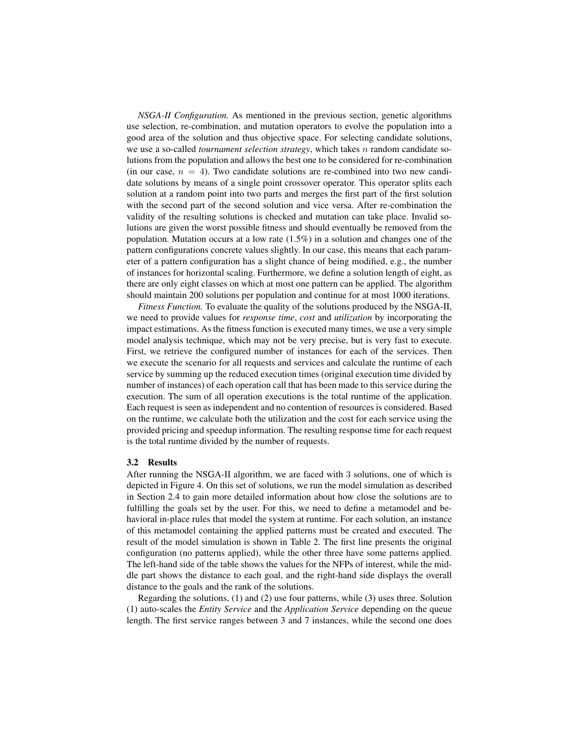*NSGA-II Configuration.* As mentioned in the previous section, genetic algorithms use selection, re-combination, and mutation operators to evolve the population into a good area of the solution and thus objective space. For selecting candidate solutions, we use a so-called *tournament selection strategy*, which takes n random candidate solutions from the population and allows the best one to be considered for re-combination (in our case,  $n = 4$ ). Two candidate solutions are re-combined into two new candidate solutions by means of a single point crossover operator. This operator splits each solution at a random point into two parts and merges the first part of the first solution with the second part of the second solution and vice versa. After re-combination the validity of the resulting solutions is checked and mutation can take place. Invalid solutions are given the worst possible fitness and should eventually be removed from the population. Mutation occurs at a low rate  $(1.5\%)$  in a solution and changes one of the pattern configurations concrete values slightly. In our case, this means that each parameter of a pattern configuration has a slight chance of being modified, e.g., the number of instances for horizontal scaling. Furthermore, we define a solution length of eight, as there are only eight classes on which at most one pattern can be applied. The algorithm should maintain 200 solutions per population and continue for at most 1000 iterations.

*Fitness Function.* To evaluate the quality of the solutions produced by the NSGA-II, we need to provide values for *response time*, *cost* and *utilization* by incorporating the impact estimations. As the fitness function is executed many times, we use a very simple model analysis technique, which may not be very precise, but is very fast to execute. First, we retrieve the configured number of instances for each of the services. Then we execute the scenario for all requests and services and calculate the runtime of each service by summing up the reduced execution times (original execution time divided by number of instances) of each operation call that has been made to this service during the execution. The sum of all operation executions is the total runtime of the application. Each request is seen as independent and no contention of resources is considered. Based on the runtime, we calculate both the utilization and the cost for each service using the provided pricing and speedup information. The resulting response time for each request is the total runtime divided by the number of requests.

#### 3.2 Results

After running the NSGA-II algorithm, we are faced with 3 solutions, one of which is depicted in Figure 4. On this set of solutions, we run the model simulation as described in Section 2.4 to gain more detailed information about how close the solutions are to fulfilling the goals set by the user. For this, we need to define a metamodel and behavioral in-place rules that model the system at runtime. For each solution, an instance of this metamodel containing the applied patterns must be created and executed. The result of the model simulation is shown in Table 2. The first line presents the original configuration (no patterns applied), while the other three have some patterns applied. The left-hand side of the table shows the values for the NFPs of interest, while the middle part shows the distance to each goal, and the right-hand side displays the overall distance to the goals and the rank of the solutions.

Regarding the solutions, (1) and (2) use four patterns, while (3) uses three. Solution (1) auto-scales the *Entity Service* and the *Application Service* depending on the queue length. The first service ranges between 3 and 7 instances, while the second one does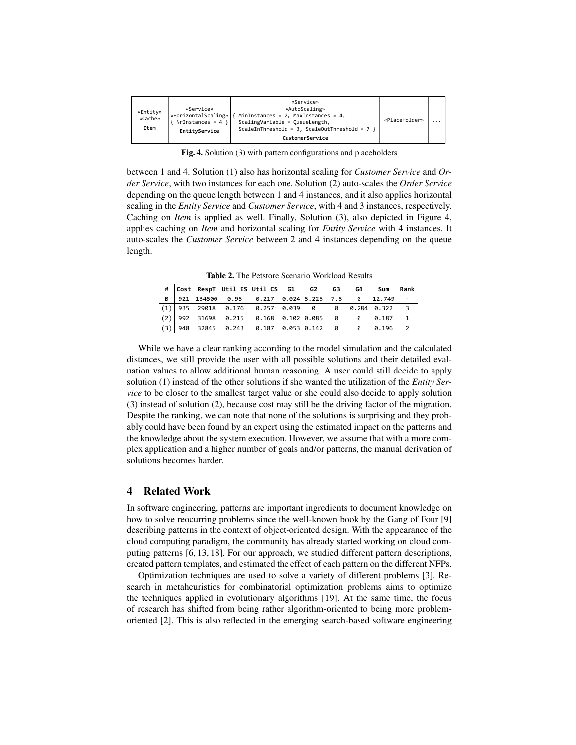| «Entity»<br>«Cache»<br>Item | «Service»<br>«HorizontalScaling»   {<br>$NrInstances = 4$<br>EntityService | «Service»<br>«AutoScaling»<br>MinInstances = 2, MaxInstances = 4,<br>ScalingVariable = QueueLength,<br>ScaleInThreshold = 3, ScaleOutThreshold = $7$ }<br>CustomerService | «PlaceHolder» |  |
|-----------------------------|----------------------------------------------------------------------------|---------------------------------------------------------------------------------------------------------------------------------------------------------------------------|---------------|--|
|-----------------------------|----------------------------------------------------------------------------|---------------------------------------------------------------------------------------------------------------------------------------------------------------------------|---------------|--|

Fig. 4. Solution (3) with pattern configurations and placeholders

between 1 and 4. Solution (1) also has horizontal scaling for *Customer Service* and *Order Service*, with two instances for each one. Solution (2) auto-scales the *Order Service* depending on the queue length between 1 and 4 instances, and it also applies horizontal scaling in the *Entity Service* and *Customer Service*, with 4 and 3 instances, respectively. Caching on *Item* is applied as well. Finally, Solution (3), also depicted in Figure 4, applies caching on *Item* and horizontal scaling for *Entity Service* with 4 instances. It auto-scales the *Customer Service* between 2 and 4 instances depending on the queue length.

Table 2. The Petstore Scenario Workload Results

|   |  | # Cost RespT Util ES Util CS G1 G2 G3             |  |  | G4 Sum | Rank |
|---|--|---------------------------------------------------|--|--|--------|------|
| B |  | 921 134500 0.95 0.217 0.024 5.225 7.5 0 12.749 -  |  |  |        |      |
|   |  | $(1)$ 935 29018 0.176 0.257 0.039 0 0 0.284 0.322 |  |  |        |      |
|   |  | $(2)$ 992 31698 0.215 0.168 0.102 0.085 0 0 0.187 |  |  |        |      |
|   |  | $(3)$ 948 32845 0.243 0.187 0.053 0.142 0 0 0.196 |  |  |        |      |

While we have a clear ranking according to the model simulation and the calculated distances, we still provide the user with all possible solutions and their detailed evaluation values to allow additional human reasoning. A user could still decide to apply solution (1) instead of the other solutions if she wanted the utilization of the *Entity Service* to be closer to the smallest target value or she could also decide to apply solution (3) instead of solution (2), because cost may still be the driving factor of the migration. Despite the ranking, we can note that none of the solutions is surprising and they probably could have been found by an expert using the estimated impact on the patterns and the knowledge about the system execution. However, we assume that with a more complex application and a higher number of goals and/or patterns, the manual derivation of solutions becomes harder.

## 4 Related Work

In software engineering, patterns are important ingredients to document knowledge on how to solve reocurring problems since the well-known book by the Gang of Four [9] describing patterns in the context of object-oriented design. With the appearance of the cloud computing paradigm, the community has already started working on cloud computing patterns [6, 13, 18]. For our approach, we studied different pattern descriptions, created pattern templates, and estimated the effect of each pattern on the different NFPs.

Optimization techniques are used to solve a variety of different problems [3]. Research in metaheuristics for combinatorial optimization problems aims to optimize the techniques applied in evolutionary algorithms [19]. At the same time, the focus of research has shifted from being rather algorithm-oriented to being more problemoriented [2]. This is also reflected in the emerging search-based software engineering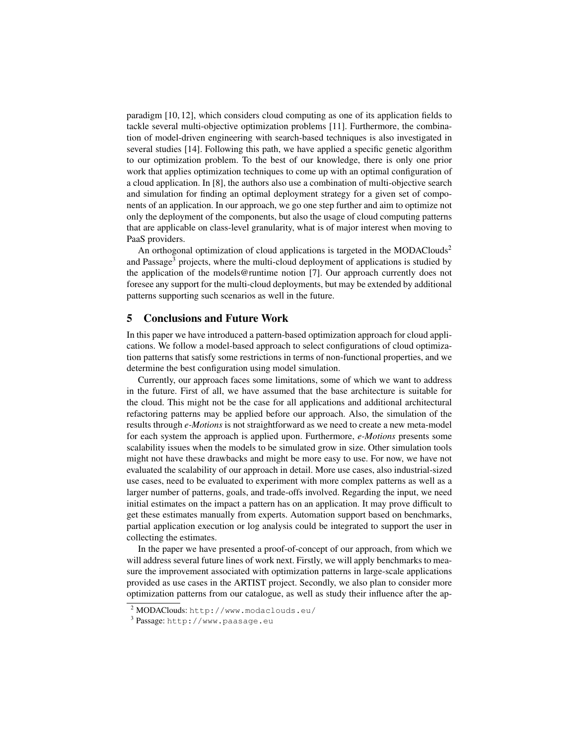paradigm [10, 12], which considers cloud computing as one of its application fields to tackle several multi-objective optimization problems [11]. Furthermore, the combination of model-driven engineering with search-based techniques is also investigated in several studies [14]. Following this path, we have applied a specific genetic algorithm to our optimization problem. To the best of our knowledge, there is only one prior work that applies optimization techniques to come up with an optimal configuration of a cloud application. In [8], the authors also use a combination of multi-objective search and simulation for finding an optimal deployment strategy for a given set of components of an application. In our approach, we go one step further and aim to optimize not only the deployment of the components, but also the usage of cloud computing patterns that are applicable on class-level granularity, what is of major interest when moving to PaaS providers.

An orthogonal optimization of cloud applications is targeted in the MODAClouds<sup>2</sup> and Passage<sup>3</sup> projects, where the multi-cloud deployment of applications is studied by the application of the models@runtime notion [7]. Our approach currently does not foresee any support for the multi-cloud deployments, but may be extended by additional patterns supporting such scenarios as well in the future.

### 5 Conclusions and Future Work

In this paper we have introduced a pattern-based optimization approach for cloud applications. We follow a model-based approach to select configurations of cloud optimization patterns that satisfy some restrictions in terms of non-functional properties, and we determine the best configuration using model simulation.

Currently, our approach faces some limitations, some of which we want to address in the future. First of all, we have assumed that the base architecture is suitable for the cloud. This might not be the case for all applications and additional architectural refactoring patterns may be applied before our approach. Also, the simulation of the results through *e-Motions* is not straightforward as we need to create a new meta-model for each system the approach is applied upon. Furthermore, *e-Motions* presents some scalability issues when the models to be simulated grow in size. Other simulation tools might not have these drawbacks and might be more easy to use. For now, we have not evaluated the scalability of our approach in detail. More use cases, also industrial-sized use cases, need to be evaluated to experiment with more complex patterns as well as a larger number of patterns, goals, and trade-offs involved. Regarding the input, we need initial estimates on the impact a pattern has on an application. It may prove difficult to get these estimates manually from experts. Automation support based on benchmarks, partial application execution or log analysis could be integrated to support the user in collecting the estimates.

In the paper we have presented a proof-of-concept of our approach, from which we will address several future lines of work next. Firstly, we will apply benchmarks to measure the improvement associated with optimization patterns in large-scale applications provided as use cases in the ARTIST project. Secondly, we also plan to consider more optimization patterns from our catalogue, as well as study their influence after the ap-

<sup>2</sup> MODAClouds: http://www.modaclouds.eu/

<sup>&</sup>lt;sup>3</sup> Passage: http://www.paasage.eu